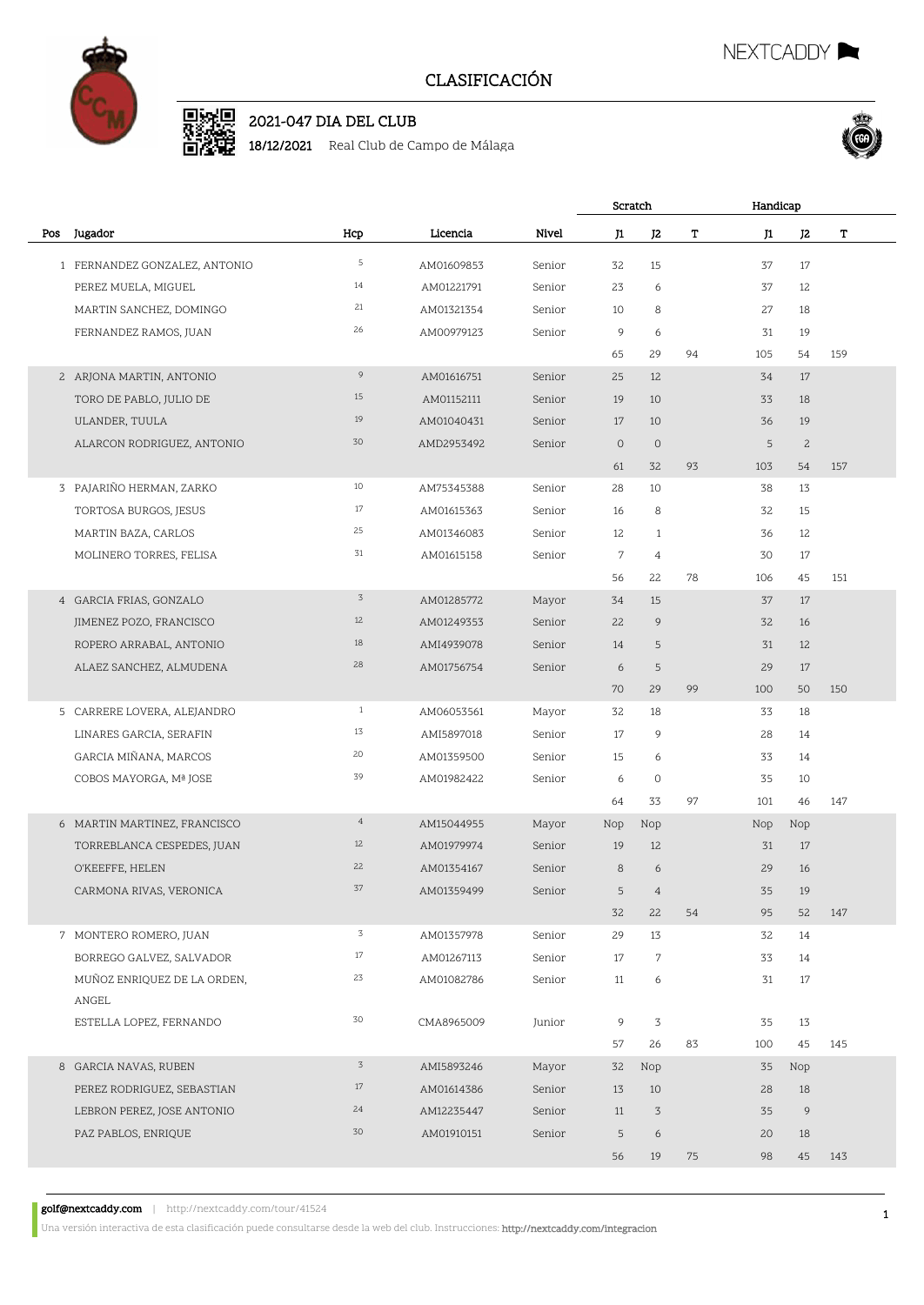

# D. 2002 2021-047 DIA DEL CLUB

18/12/2021 Real Club de Campo de Málaga





|     |                                  |                |            |        |                  | Scratch        |    | Handicap |                |     |  |
|-----|----------------------------------|----------------|------------|--------|------------------|----------------|----|----------|----------------|-----|--|
| Pos | Jugador                          | Hcp            | Licencia   | Nivel  | J1               | J <sub>2</sub> | T  | J1       | J <sub>2</sub> | T   |  |
|     | 1 FERNANDEZ GONZALEZ, ANTONIO    | 5              | AM01609853 | Senior | 32               | 15             |    | 37       | 17             |     |  |
|     | PEREZ MUELA, MIGUEL              | 14             | AM01221791 | Senior | 23               | 6              |    | 37       | 12             |     |  |
|     | MARTIN SANCHEZ, DOMINGO          | 21             | AM01321354 | Senior | 10               | 8              |    | 27       | 18             |     |  |
|     | FERNANDEZ RAMOS, JUAN            | 26             | AM00979123 | Senior | 9                | 6              |    | 31       | 19             |     |  |
|     |                                  |                |            |        | 65               | 29             | 94 | 105      | 54             | 159 |  |
|     | 2 ARJONA MARTIN, ANTONIO         | 9              | AM01616751 | Senior | 25               | 12             |    | 34       | 17             |     |  |
|     | TORO DE PABLO, JULIO DE          | 15             | AM01152111 | Senior | 19               | 10             |    | 33       | 18             |     |  |
|     | ULANDER, TUULA                   | 19             | AM01040431 | Senior | 17               | 10             |    | 36       | 19             |     |  |
|     | ALARCON RODRIGUEZ, ANTONIO       | 30             | AMD2953492 | Senior | $\circ$          | $\circ$        |    | 5        | $\mathbf{2}$   |     |  |
|     |                                  |                |            |        | 61               | 32             | 93 | 103      | 54             | 157 |  |
|     | 3 PAJARIÑO HERMAN, ZARKO         | 10             | AM75345388 | Senior | 28               | 10             |    | 38       | 13             |     |  |
|     | TORTOSA BURGOS, JESUS            | 17             | AM01615363 | Senior | 16               | 8              |    | 32       | 15             |     |  |
|     | MARTIN BAZA, CARLOS              | 25             | AM01346083 | Senior | 12               | $\mathbf{1}$   |    | 36       | 12             |     |  |
|     | MOLINERO TORRES, FELISA          | 31             | AM01615158 | Senior | $\boldsymbol{7}$ | $\overline{4}$ |    | 30       | 17             |     |  |
|     |                                  |                |            |        | 56               | 22             | 78 | 106      | 45             | 151 |  |
|     | 4 GARCIA FRIAS, GONZALO          | $\overline{3}$ | AM01285772 | Mayor  | 34               | 15             |    | 37       | 17             |     |  |
|     | JIMENEZ POZO, FRANCISCO          | 12             | AM01249353 | Senior | 22               | 9              |    | 32       | 16             |     |  |
|     | ROPERO ARRABAL, ANTONIO          | 18             | AMI4939078 | Senior | 14               | 5              |    | 31       | 12             |     |  |
|     | ALAEZ SANCHEZ, ALMUDENA          | 28             | AM01756754 | Senior | 6                | 5              |    | 29       | 17             |     |  |
|     |                                  |                |            |        | 70               | 29             | 99 | 100      | 50             | 150 |  |
|     | 5 CARRERE LOVERA, ALEJANDRO      | $\mathbf{1}$   | AM06053561 | Mayor  | 32               | 18             |    | 33       | 18             |     |  |
|     | LINARES GARCIA, SERAFIN          | 13             | AMI5897018 | Senior | 17               | 9              |    | 28       | 14             |     |  |
|     | GARCIA MIÑANA, MARCOS            | 20             | AM01359500 | Senior | 15               | 6              |    | 33       | 14             |     |  |
|     | COBOS MAYORGA, Mª JOSE           | 39             | AM01982422 | Senior | 6                | 0              |    | 35       | 10             |     |  |
|     |                                  |                |            |        | 64               | 33             | 97 | 101      | 46             | 147 |  |
|     | 6 MARTIN MARTINEZ, FRANCISCO     | $\overline{4}$ | AM15044955 | Mayor  | Nop              | Nop            |    | Nop      | Nop            |     |  |
|     | TORREBLANCA CESPEDES, JUAN       | 12             | AM01979974 | Senior | 19               | 12             |    | 31       | 17             |     |  |
|     | O'KEEFFE, HELEN                  | 22             | AM01354167 | Senior | 8                | 6              |    | 29       | 16             |     |  |
|     | CARMONA RIVAS, VERONICA          | 37             | AM01359499 | Senior | 5                | 4              |    | 35       | 19             |     |  |
|     |                                  |                |            |        | 32               | 22             | 54 | 95       | 52             | 147 |  |
|     | 7 MONTERO ROMERO, JUAN           | 3              | AM01357978 | Senior | 29               | 13             |    | 32       | 14             |     |  |
|     | BORREGO GALVEZ, SALVADOR         | 17             | AM01267113 | Senior | 17               | 7              |    | 33       | 14             |     |  |
|     | MUÑOZ ENRIQUEZ DE LA ORDEN,      | 23             | AM01082786 | Senior | 11               | 6              |    | 31       | 17             |     |  |
|     | ANGEL<br>ESTELLA LOPEZ, FERNANDO | 30             | CMA8965009 | Junior | 9                | 3              |    | 35       | 13             |     |  |
|     |                                  |                |            |        | 57               | 26             | 83 | 100      | 45             | 145 |  |
|     | 8 GARCIA NAVAS, RUBEN            | $\overline{3}$ | AMI5893246 | Mayor  | 32               | Nop            |    | 35       | Nop            |     |  |
|     | PEREZ RODRIGUEZ, SEBASTIAN       | 17             | AM01614386 | Senior | 13               | 10             |    | 28       | 18             |     |  |
|     | LEBRON PEREZ, JOSE ANTONIO       | 24             | AM12235447 | Senior | 11               | 3              |    | 35       | 9              |     |  |
|     | PAZ PABLOS, ENRIQUE              | 30             | AM01910151 | Senior | 5                | 6              |    | 20       | 18             |     |  |
|     |                                  |                |            |        | 56               | 19             | 75 | 98       | 45             | 143 |  |
|     |                                  |                |            |        |                  |                |    |          |                |     |  |

golf@nextcaddy.com | http://nextcaddy.com/tour/41524

Una versión interactiva de esta clasificación puede consultarse desde la web del club. Instrucciones: http://nextcaddy.com/integracion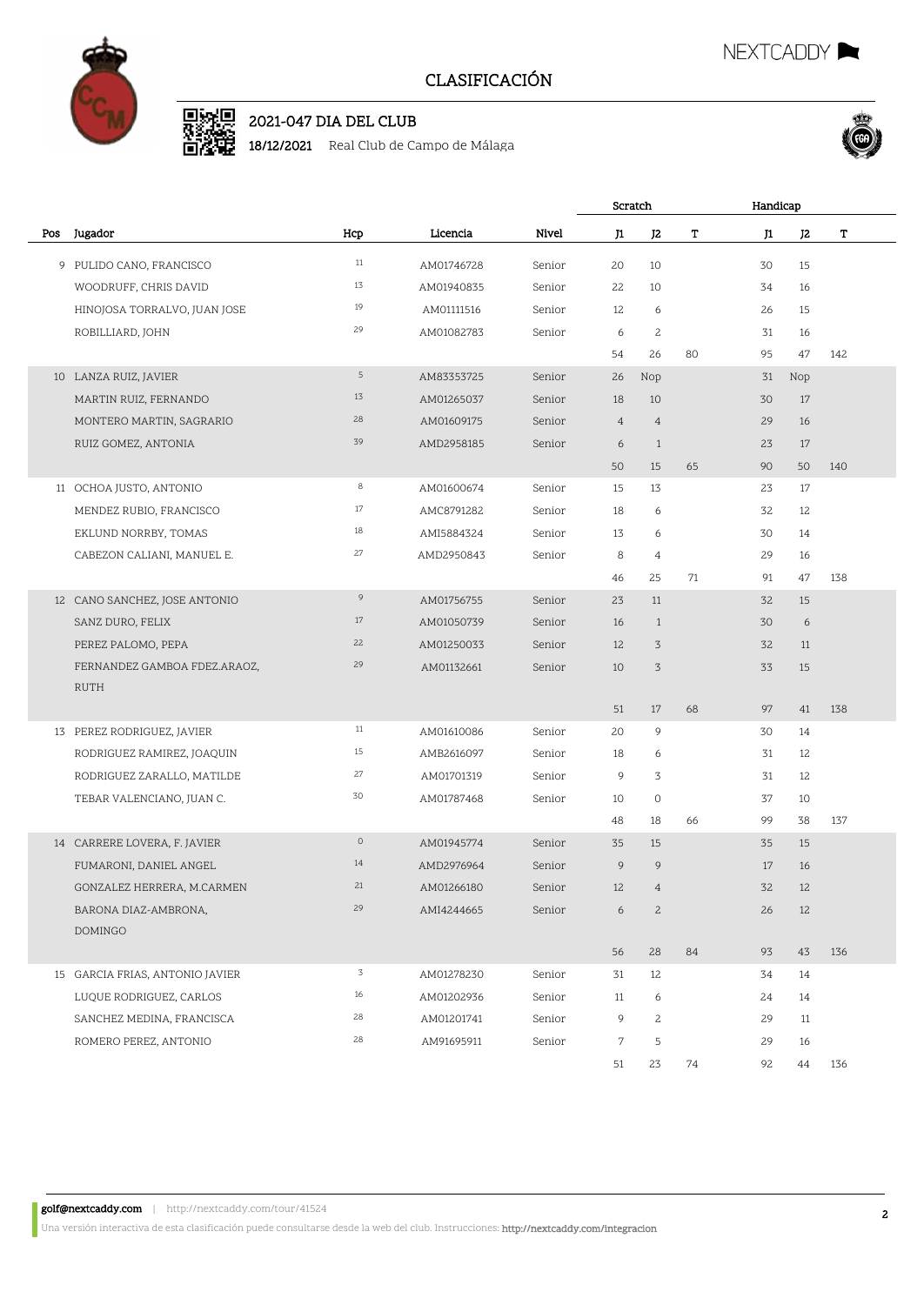

# D. 2002 2021-047 DIA DEL CLUB

18/12/2021 Real Club de Campo de Málaga





|     |                                 |         |            |        | Scratch          |                |    | Handicap |     |     |  |
|-----|---------------------------------|---------|------------|--------|------------------|----------------|----|----------|-----|-----|--|
| Pos | Jugador                         | Hcp     | Licencia   | Nivel  | J1               | J <sub>2</sub> | T  | J1       | J2  | T   |  |
|     | 9 PULIDO CANO, FRANCISCO        | 11      | AM01746728 | Senior | 20               | 10             |    | 30       | 15  |     |  |
|     | WOODRUFF, CHRIS DAVID           | 13      | AM01940835 | Senior | 22               | 10             |    | 34       | 16  |     |  |
|     | HINOJOSA TORRALVO, JUAN JOSE    | 19      | AM01111516 | Senior | 12               | 6              |    | 26       | 15  |     |  |
|     | ROBILLIARD, JOHN                | 29      | AM01082783 | Senior | 6                | $\mathbf{2}$   |    | 31       | 16  |     |  |
|     |                                 |         |            |        | 54               | 26             | 80 | 95       | 47  | 142 |  |
|     | 10 LANZA RUIZ, JAVIER           | 5       | AM83353725 | Senior | 26               | Nop            |    | 31       | Nop |     |  |
|     | MARTIN RUIZ, FERNANDO           | 13      | AM01265037 | Senior | 18               | 10             |    | 30       | 17  |     |  |
|     | MONTERO MARTIN, SAGRARIO        | 28      | AM01609175 | Senior | $\overline{4}$   | $\overline{4}$ |    | 29       | 16  |     |  |
|     | RUIZ GOMEZ, ANTONIA             | 39      | AMD2958185 | Senior | 6                | $\mathbf{1}$   |    | 23       | 17  |     |  |
|     |                                 |         |            |        | 50               | 15             | 65 | 90       | 50  | 140 |  |
|     | 11 OCHOA JUSTO, ANTONIO         | 8       | AM01600674 | Senior | 15               | 13             |    | 23       | 17  |     |  |
|     | MENDEZ RUBIO, FRANCISCO         | 17      | AMC8791282 | Senior | 18               | 6              |    | 32       | 12  |     |  |
|     | EKLUND NORRBY, TOMAS            | 18      | AMI5884324 | Senior | 13               | 6              |    | 30       | 14  |     |  |
|     | CABEZON CALIANI, MANUEL E.      | 27      | AMD2950843 | Senior | 8                | $\overline{4}$ |    | 29       | 16  |     |  |
|     |                                 |         |            |        | 46               | 25             | 71 | 91       | 47  | 138 |  |
|     | 12 CANO SANCHEZ, JOSE ANTONIO   | 9       | AM01756755 | Senior | 23               | 11             |    | 32       | 15  |     |  |
|     | SANZ DURO, FELIX                | 17      | AM01050739 | Senior | 16               | $\mathbf{1}$   |    | 30       | 6   |     |  |
|     | PEREZ PALOMO, PEPA              | 22      | AM01250033 | Senior | 12               | 3              |    | 32       | 11  |     |  |
|     | FERNANDEZ GAMBOA FDEZ.ARAOZ,    | 29      | AM01132661 | Senior | 10               | $\sqrt{3}$     |    | 33       | 15  |     |  |
|     | <b>RUTH</b>                     |         |            |        |                  |                |    |          |     |     |  |
|     |                                 |         |            |        | 51               | 17             | 68 | 97       | 41  | 138 |  |
|     | 13 PEREZ RODRIGUEZ, JAVIER      | $11\,$  | AM01610086 | Senior | 20               | 9              |    | 30       | 14  |     |  |
|     | RODRIGUEZ RAMIREZ, JOAQUIN      | 15      | AMB2616097 | Senior | 18               | 6              |    | 31       | 12  |     |  |
|     | RODRIGUEZ ZARALLO, MATILDE      | 27      | AM01701319 | Senior | 9                | 3              |    | 31       | 12  |     |  |
|     | TEBAR VALENCIANO, JUAN C.       | 30      | AM01787468 | Senior | 10               | 0              |    | 37       | 10  |     |  |
|     |                                 |         |            |        | 48               | 18             | 66 | 99       | 38  | 137 |  |
|     | 14 CARRERE LOVERA, F. JAVIER    | $\circ$ | AM01945774 | Senior | 35               | 15             |    | 35       | 15  |     |  |
|     | FUMARONI, DANIEL ANGEL          | 14      | AMD2976964 | Senior | 9                | 9              |    | 17       | 16  |     |  |
|     | GONZALEZ HERRERA, M.CARMEN      | 21      | AM01266180 | Senior | 12               | $\overline{4}$ |    | 32       | 12  |     |  |
|     | BARONA DIAZ-AMBRONA,            | 29      | AMI4244665 | Senior | 6                | $\overline{c}$ |    | 26       | 12  |     |  |
|     | DOMINGO                         |         |            |        |                  |                |    |          |     |     |  |
|     |                                 | 3       |            |        | 56               | 28             | 84 | 93       | 43  | 136 |  |
|     | 15 GARCIA FRIAS, ANTONIO JAVIER |         | AM01278230 | Senior | 31               | 12             |    | 34       | 14  |     |  |
|     | LUQUE RODRIGUEZ, CARLOS         | $16\,$  | AM01202936 | Senior | 11               | 6              |    | 24       | 14  |     |  |
|     | SANCHEZ MEDINA, FRANCISCA       | 28      | AM01201741 | Senior | 9                | $\mathbf{2}$   |    | 29       | 11  |     |  |
|     | ROMERO PEREZ, ANTONIO           | 28      | AM91695911 | Senior | $\boldsymbol{7}$ | 5              |    | 29       | 16  |     |  |
|     |                                 |         |            |        | 51               | 23             | 74 | 92       | 44  | 136 |  |

golf@nextcaddy.com | http://nextcaddy.com/tour/41524

Una versión interactiva de esta clasificación puede consultarse desde la web del club. Instrucciones: http://nextcaddy.com/integracion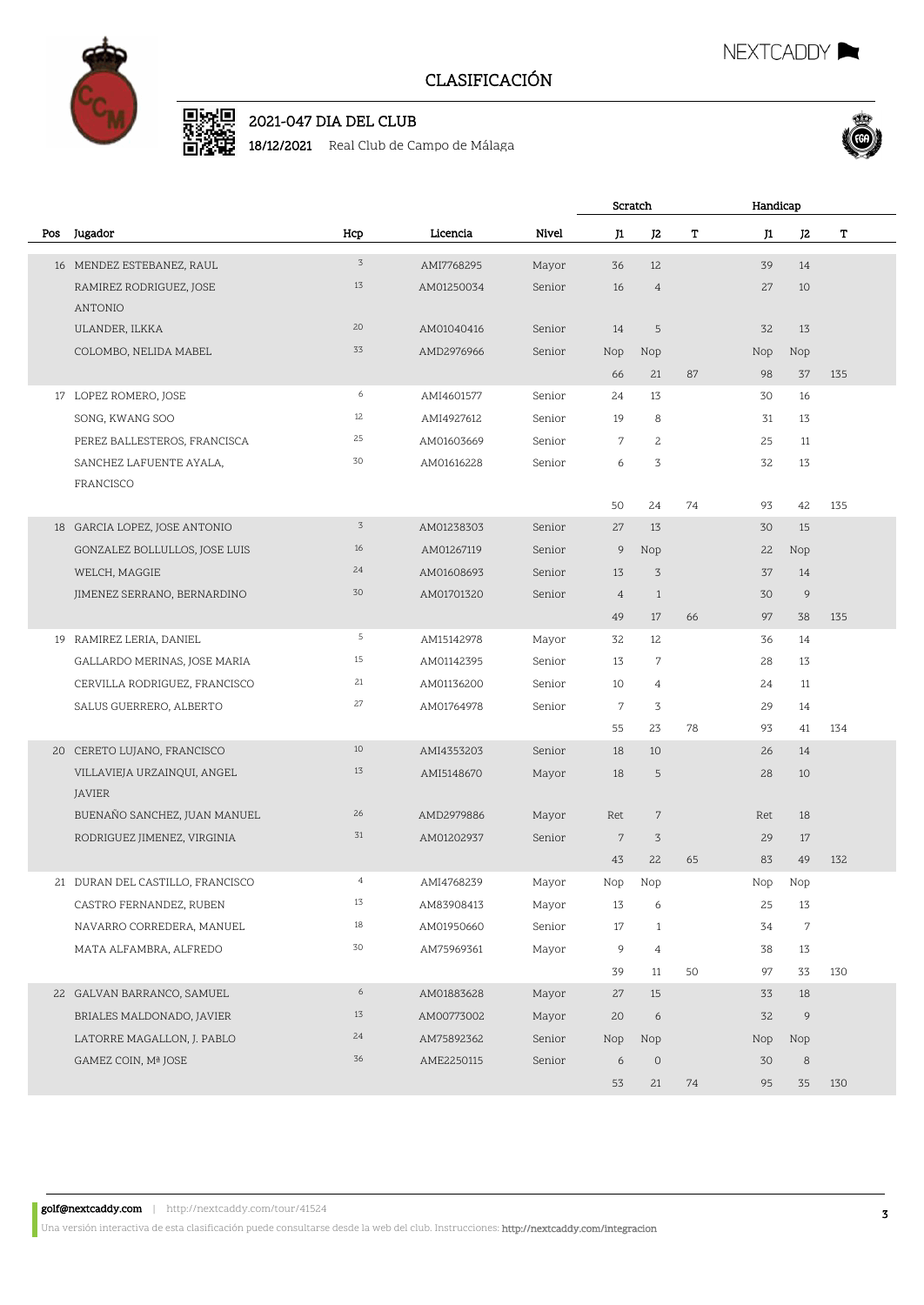

# D SHOP 2021-047 DIA DEL CLUB

18/12/2021 Real Club de Campo de Málaga



D.

NEXTCADDY

|     |                                  |                |            |        | Scratch        |                |    | Handicap |                |     |  |
|-----|----------------------------------|----------------|------------|--------|----------------|----------------|----|----------|----------------|-----|--|
| Pos | Jugador                          | Hcp            | Licencia   | Nivel  | J1             | J2             | т  | J1       | J2             | т   |  |
|     | 16 MENDEZ ESTEBANEZ, RAUL        | $\overline{3}$ | AMI7768295 | Mayor  | 36             | 12             |    | 39       | 14             |     |  |
|     | RAMIREZ RODRIGUEZ, JOSE          | 13             | AM01250034 | Senior | 16             | $\overline{4}$ |    | 27       | 10             |     |  |
|     | ANTONIO                          |                |            |        |                |                |    |          |                |     |  |
|     | ULANDER, ILKKA                   | 20             | AM01040416 | Senior | 14             | 5              |    | 32       | 13             |     |  |
|     | COLOMBO, NELIDA MABEL            | 33             | AMD2976966 | Senior | Nop            | Nop            |    | Nop      | Nop            |     |  |
|     |                                  |                |            |        | 66             | 21             | 87 | 98       | 37             | 135 |  |
|     | 17 LOPEZ ROMERO, JOSE            | 6              | AMI4601577 | Senior | 24             | 13             |    | 30       | 16             |     |  |
|     | SONG, KWANG SOO                  | 12             | AMI4927612 | Senior | 19             | 8              |    | 31       | 13             |     |  |
|     | PEREZ BALLESTEROS, FRANCISCA     | 25             | AM01603669 | Senior | 7              | $\overline{c}$ |    | 25       | 11             |     |  |
|     | SANCHEZ LAFUENTE AYALA,          | 30             | AM01616228 | Senior | 6              | 3              |    | 32       | 13             |     |  |
|     | FRANCISCO                        |                |            |        |                |                |    |          |                |     |  |
|     |                                  |                |            |        | 50             | 24             | 74 | 93       | 42             | 135 |  |
|     | 18 GARCIA LOPEZ, JOSE ANTONIO    | $\overline{3}$ | AM01238303 | Senior | 27             | 13             |    | 30       | 15             |     |  |
|     | GONZALEZ BOLLULLOS, JOSE LUIS    | 16             | AM01267119 | Senior | 9              | Nop            |    | 22       | Nop            |     |  |
|     | WELCH, MAGGIE                    | 24             | AM01608693 | Senior | 13             | 3              |    | 37       | 14             |     |  |
|     | JIMENEZ SERRANO, BERNARDINO      | 30             | AM01701320 | Senior | $\overline{4}$ | $\mathbf{1}$   |    | 30       | $\overline{9}$ |     |  |
|     |                                  |                |            |        | 49             | 17             | 66 | 97       | 38             | 135 |  |
|     | 19 RAMIREZ LERIA, DANIEL         | 5              | AM15142978 | Mayor  | 32             | 12             |    | 36       | 14             |     |  |
|     | GALLARDO MERINAS, JOSE MARIA     | 15             | AM01142395 | Senior | 13             | 7              |    | 28       | 13             |     |  |
|     | CERVILLA RODRIGUEZ, FRANCISCO    | 21             | AM01136200 | Senior | 10             | $\overline{4}$ |    | 24       | 11             |     |  |
|     | SALUS GUERRERO, ALBERTO          | 27             | AM01764978 | Senior | $\overline{7}$ | 3              |    | 29       | 14             |     |  |
|     |                                  |                |            |        | 55             | 23             | 78 | 93       | 41             | 134 |  |
|     | 20 CERETO LUJANO, FRANCISCO      | 10             | AMI4353203 | Senior | 18             | 10             |    | 26       | 14             |     |  |
|     | VILLAVIEJA URZAINQUI, ANGEL      | 13             | AMI5148670 | Mayor  | 18             | 5              |    | 28       | 10             |     |  |
|     | JAVIER                           |                |            |        |                |                |    |          |                |     |  |
|     | BUENAÑO SANCHEZ, JUAN MANUEL     | 26             | AMD2979886 | Mayor  | Ret            | $\overline{7}$ |    | Ret      | 18             |     |  |
|     | RODRIGUEZ JIMENEZ, VIRGINIA      | 31             | AM01202937 | Senior | $\sqrt{2}$     | 3              |    | 29       | 17             |     |  |
|     |                                  |                |            |        | 43             | 22             | 65 | 83       | 49             | 132 |  |
|     | 21 DURAN DEL CASTILLO, FRANCISCO | $\overline{4}$ | AMI4768239 | Mayor  | Nop            | Nop            |    | Nop      | Nop            |     |  |
|     | CASTRO FERNANDEZ, RUBEN          | 13             | AM83908413 | Mayor  | 13             | 6              |    | 25       | 13             |     |  |
|     | NAVARRO CORREDERA, MANUEL        | $18\,$         | AM01950660 | Senior | 17             | $\mathbf{1}$   |    | 34       | 7              |     |  |
|     | MATA ALFAMBRA, ALFREDO           | 30             | AM75969361 | Mayor  | 9              | $\overline{4}$ |    | 38       | 13             |     |  |
|     |                                  |                |            |        | 39             | 11             | 50 | 97       | 33             | 130 |  |
|     | 22 GALVAN BARRANCO, SAMUEL       | 6              | AM01883628 | Mayor  | 27             | 15             |    | 33       | 18             |     |  |
|     | BRIALES MALDONADO, JAVIER        | 13             | AM00773002 | Mayor  | 20             | 6              |    | 32       | 9              |     |  |
|     | LATORRE MAGALLON, J. PABLO       | 24             | AM75892362 | Senior | Nop            | Nop            |    | Nop      | Nop            |     |  |
|     | GAMEZ COIN, Mª JOSE              | 36             | AME2250115 | Senior | 6              | $\circ$        |    | 30       | $\,8\,$        |     |  |
|     |                                  |                |            |        | 53             | 21             | 74 | 95       | 35             | 130 |  |

Una versión interactiva de esta clasificación puede consultarse desde la web del club. Instrucciones: http://nextcaddy.com/integracion